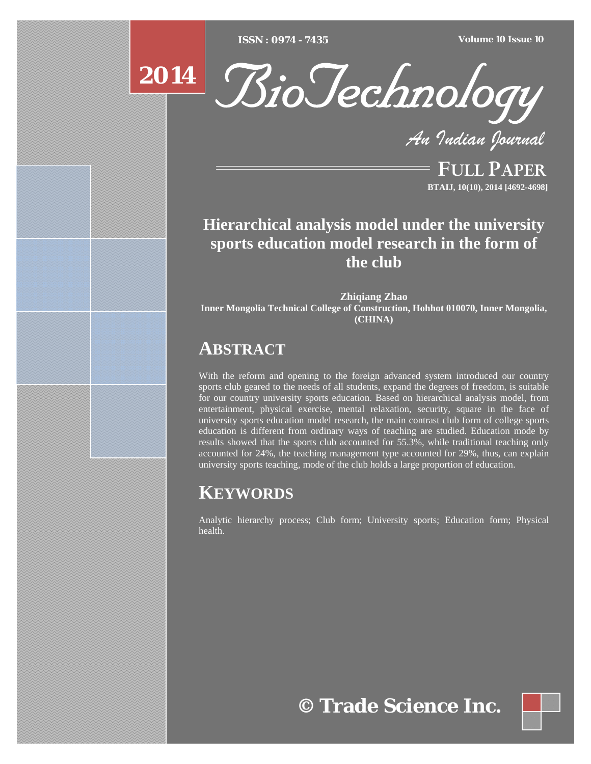[Type text] [Type text] [Type text] *ISSN : 0974 - 7435 Volume 10 Issue 10*





*An Indian Journal*

FULL PAPER **BTAIJ, 10(10), 2014 [4692-4698]**

## **Hierarchical analysis model under the university sports education model research in the form of the club**

**Zhiqiang Zhao Inner Mongolia Technical College of Construction, Hohhot 010070, Inner Mongolia, (CHINA)**

## **ABSTRACT**

With the reform and opening to the foreign advanced system introduced our country sports club geared to the needs of all students, expand the degrees  $\overline{of}$  freedom, is suitable for our country university sports education. Based on hierarchical analysis model, from entertainment, physical exercise, mental relaxation, security, square in the face of university sports education model research, the main contrast club form of college sports education is different from ordinary ways of teaching are studied. Education mode by results showed that the sports club accounted for 55.3%, while traditional teaching only accounted for 24%, the teaching management type accounted for 29%, thus, can explain university sports teaching, mode of the club holds a large proportion of education.

# **KEYWORDS**

Analytic hierarchy process; Club form; University sports; Education form; Physical health.

**© Trade Science Inc.**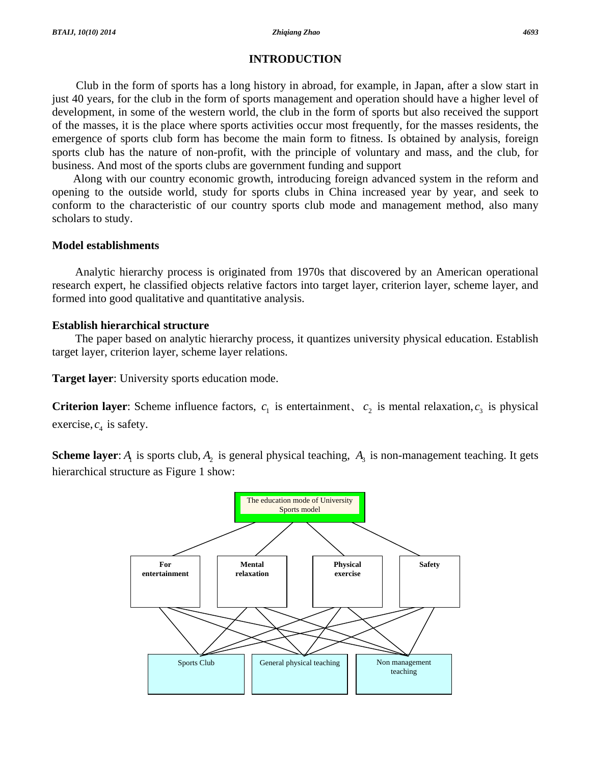## **INTRODUCTION**

 Club in the form of sports has a long history in abroad, for example, in Japan, after a slow start in just 40 years, for the club in the form of sports management and operation should have a higher level of development, in some of the western world, the club in the form of sports but also received the support of the masses, it is the place where sports activities occur most frequently, for the masses residents, the emergence of sports club form has become the main form to fitness. Is obtained by analysis, foreign sports club has the nature of non-profit, with the principle of voluntary and mass, and the club, for business. And most of the sports clubs are government funding and support

Along with our country economic growth, introducing foreign advanced system in the reform and opening to the outside world, study for sports clubs in China increased year by year, and seek to conform to the characteristic of our country sports club mode and management method, also many scholars to study.

### **Model establishments**

Analytic hierarchy process is originated from 1970s that discovered by an American operational research expert, he classified objects relative factors into target layer, criterion layer, scheme layer, and formed into good qualitative and quantitative analysis.

## **Establish hierarchical structure**

The paper based on analytic hierarchy process, it quantizes university physical education. Establish target layer, criterion layer, scheme layer relations.

**Target layer**: University sports education mode.

**Criterion layer**: Scheme influence factors,  $c_1$  is entertainment,  $c_2$  is mental relaxation,  $c_3$  is physical exercise,  $c_4$  is safety.

**Scheme layer**:  $A_1$  is sports club,  $A_2$  is general physical teaching,  $A_3$  is non-management teaching. It gets hierarchical structure as Figure 1 show:

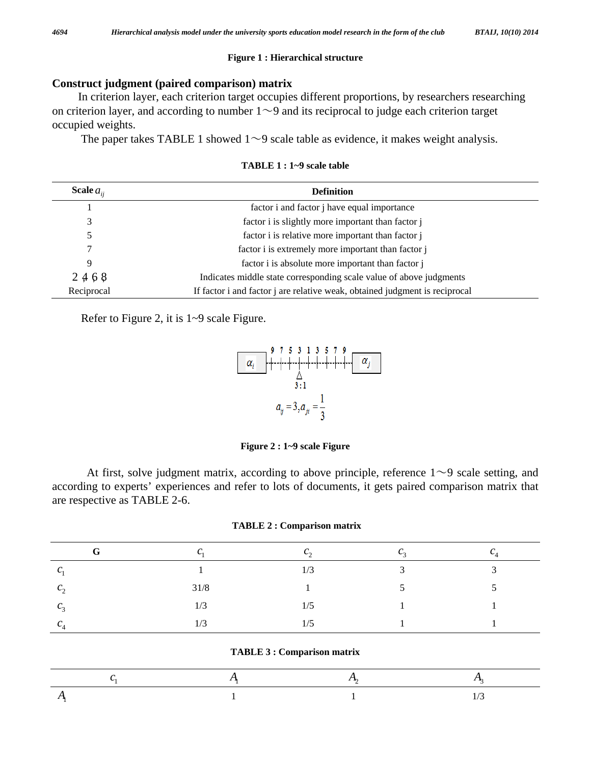#### **Figure 1 : Hierarchical structure**

## **Construct judgment (paired comparison) matrix**

 In criterion layer, each criterion target occupies different proportions, by researchers researching on criterion layer, and according to number  $1 \sim 9$  and its reciprocal to judge each criterion target occupied weights.

The paper takes TABLE 1 showed  $1 \sim 9$  scale table as evidence, it makes weight analysis.

| Scale $a_{ii}$ | <b>Definition</b>                                                           |  |  |  |  |  |
|----------------|-----------------------------------------------------------------------------|--|--|--|--|--|
|                | factor i and factor <i>i</i> have equal importance                          |  |  |  |  |  |
| 3              | factor i is slightly more important than factor j                           |  |  |  |  |  |
|                | factor i is relative more important than factor j                           |  |  |  |  |  |
|                | factor i is extremely more important than factor j                          |  |  |  |  |  |
| 9              | factor i is absolute more important than factor j                           |  |  |  |  |  |
| 2468           | Indicates middle state corresponding scale value of above judgments         |  |  |  |  |  |
| Reciprocal     | If factor i and factor j are relative weak, obtained judgment is reciprocal |  |  |  |  |  |

**TABLE 1 : 1~9 scale table** 

Refer to Figure 2, it is 1~9 scale Figure.



**Figure 2 : 1~9 scale Figure** 

At first, solve judgment matrix, according to above principle, reference  $1 \sim 9$  scale setting, and according to experts' experiences and refer to lots of documents, it gets paired comparison matrix that are respective as TABLE 2-6.

| G              | $\sqrt{2}$<br>ັ | $c_{\gamma}$ |              | ◡      |
|----------------|-----------------|--------------|--------------|--------|
| $C_{1}$        |                 | 1/3          | $\mathbf{c}$ | $\sim$ |
| c <sub>2</sub> | 31/8            |              |              |        |
| c <sub>3</sub> | 1/3             | 1/5          |              |        |
| $\mathcal{C}$  | 1/3             | 1/5          |              |        |

|  |  |  |  |  |  |  |  |  | <b>TABLE 3 : Comparison matrix</b> |  |
|--|--|--|--|--|--|--|--|--|------------------------------------|--|
|--|--|--|--|--|--|--|--|--|------------------------------------|--|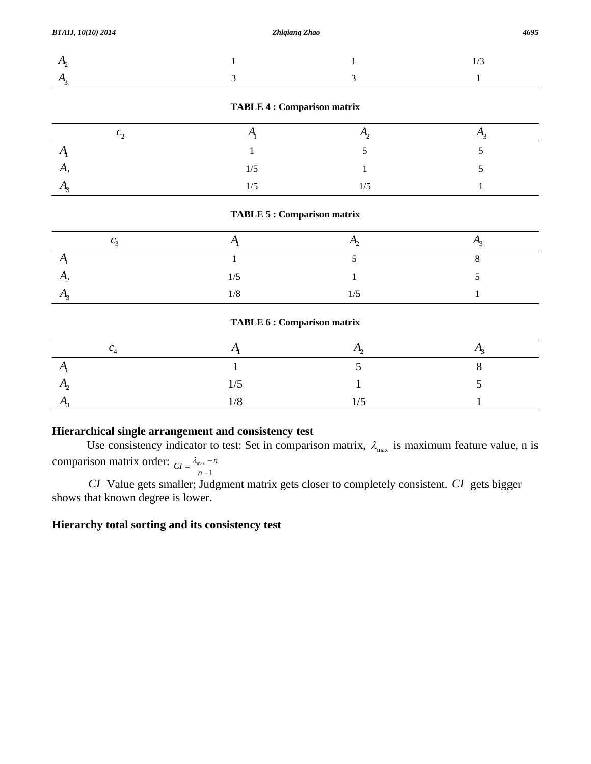| .   |  |  |
|-----|--|--|
| . . |  |  |

#### **TABLE 4 : Comparison matrix**

| $\sim$ |  |  |
|--------|--|--|
|        |  |  |
|        |  |  |
|        |  |  |

#### **TABLE 5 : Comparison matrix**

| . . | $\sqrt{2}$ |  |
|-----|------------|--|
|     |            |  |

#### **TABLE 6 : Comparison matrix**

| $\mathbf{U}$  |     |         |  |
|---------------|-----|---------|--|
|               |     |         |  |
| $\Delta$      | 1/5 |         |  |
| $\mathcal{L}$ | 1/8 | /5<br>ັ |  |

## **Hierarchical single arrangement and consistency test**

Use consistency indicator to test: Set in comparison matrix,  $\lambda_{\text{max}}$  is maximum feature value, n is comparison matrix order:  $C_I = \frac{\lambda_{\text{max}}}{\lambda_{\text{max}}}$  $CI = \frac{\lambda_{\text{max}} - n}{n - 1}$ 

*CI* Value gets smaller; Judgment matrix gets closer to completely consistent. *CI* gets bigger shows that known degree is lower.

## **Hierarchy total sorting and its consistency test**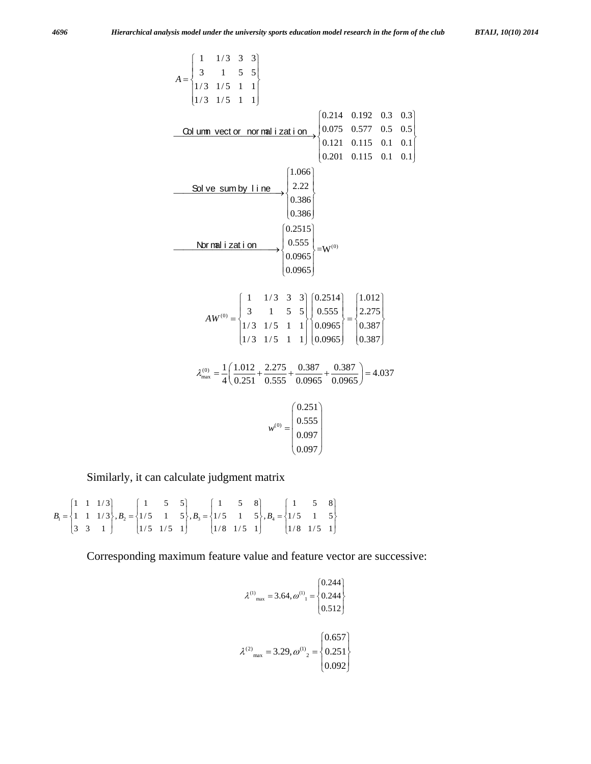$$
A = \begin{cases} 1 & 1/3 & 3 & 3 \ 1/3 & 1/5 & 1 & 1 \ 1/3 & 1/5 & 1 & 1 \ \end{cases}
$$
  
\n**Column vector normalization**  
\n**Solve sum by line**  
\n
$$
\begin{cases} 1.066 \\ 2.22 \\ 0.201 & 0.115 & 0.1 & 0.1 \ 0.386 \\ 0.386 \end{cases}
$$
  
\n
$$
\begin{cases} 1.066 \\ 2.22 \\ 0.386 \end{cases}
$$
  
\n
$$
\begin{cases} 0.2515 \\ 0.386 \end{cases}
$$
  
\n
$$
AW^{(0)} = \begin{cases} 1 & 1/3 & 3 & 3 \ 3 & 1 & 5 & 5 \ 1/3 & 1/5 & 1 & 1 \ 1/3 & 1/5 & 1 & 1 \ \end{cases}
$$
  
\n
$$
0.0965 = \begin{cases} 0.2514 \\ 0.555 \\ 0.0965 \end{cases}
$$
  
\n
$$
\lambda_{max} = \frac{1}{4} \left( \frac{1.012}{0.251} + \frac{2.275}{0.555} + \frac{0.387}{0.0965} + \frac{0.387}{0.0965} \right) = 4.037
$$
  
\n
$$
w^{(0)} = \begin{cases} 0.251 \\ 0.555 \\ 0.097 \\ 0.097 \end{cases}
$$

Similarly, it can calculate judgment matrix

$$
B_1 = \begin{Bmatrix} 1 & 1 & 1/3 \\ 1 & 1 & 1/3 \\ 3 & 3 & 1 \end{Bmatrix}, B_2 = \begin{Bmatrix} 1 & 5 & 5 \\ 1/5 & 1 & 5 \\ 1/5 & 1/5 & 1 \end{Bmatrix}, B_3 = \begin{Bmatrix} 1 & 5 & 8 \\ 1/5 & 1 & 5 \\ 1/8 & 1/5 & 1 \end{Bmatrix}, B_4 = \begin{Bmatrix} 1 & 5 & 8 \\ 1/5 & 1 & 5 \\ 1/8 & 1/5 & 1 \end{Bmatrix}
$$

Corresponding maximum feature value and feature vector are successive:

$$
\lambda^{(1)}_{\text{max}} = 3.64, \omega^{(1)}_{1} = \begin{cases} 0.244 \\ 0.244 \\ 0.512 \end{cases}
$$

$$
\lambda^{(2)}_{\text{max}} = 3.29, \omega^{(1)}_{2} = \begin{cases} 0.657 \\ 0.251 \\ 0.092 \end{cases}
$$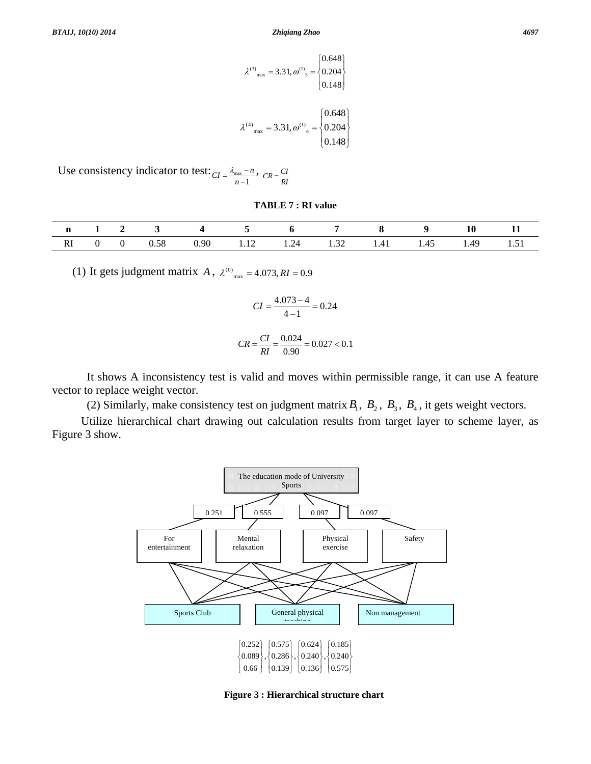$$
\lambda^{(3)}_{\text{max}} = 3.31, \omega^{(1)}_{3} = \begin{cases} 0.648 \\ 0.204 \\ 0.148 \end{cases}
$$

$$
\lambda^{(4)}_{\text{max}} = 3.31, \omega^{(1)}_{4} = \begin{cases} 0.648 \\ 0.204 \\ 0.148 \end{cases}
$$

Use consistency indicator to test:  $\overline{CI} = \frac{\lambda_{\text{max}}}{I}$  $CI = \frac{\lambda_{\text{max}} - n}{n - 1}$ ,  $CR = \frac{CI}{RI}$ 

**TABLE 7 : RI value** 

|   |  |             |      |      |                                                                         |                |                                                           |                              | πŋ                         | -- |
|---|--|-------------|------|------|-------------------------------------------------------------------------|----------------|-----------------------------------------------------------|------------------------------|----------------------------|----|
| M |  | FQ<br>v. jo | 0.90 | 1.14 | $\overline{\phantom{a}}$<br>1.24<br>the contract of the contract of the | $\sim$<br>1.JA | $\rightarrow$<br>.<br>the contract of the contract of the | . .<br>ن+.1<br>$\sim$ $\sim$ | $\Delta$ <sup>c</sup><br>. |    |

(1) It gets judgment matrix *A*,  $\lambda^{(0)}_{max} = 4.073, RI = 0.9$ 

$$
CI = \frac{4.073 - 4}{4 - 1} = 0.24
$$

$$
CR = \frac{CI}{RI} = \frac{0.024}{0.90} = 0.027 < 0.1
$$

 It shows A inconsistency test is valid and moves within permissible range, it can use A feature vector to replace weight vector.

(2) Similarly, make consistency test on judgment matrix  $B_1$ ,  $B_2$ ,  $B_3$ ,  $B_4$ , it gets weight vectors.

Utilize hierarchical chart drawing out calculation results from target layer to scheme layer, as Figure 3 show.



**Figure 3 : Hierarchical structure chart**